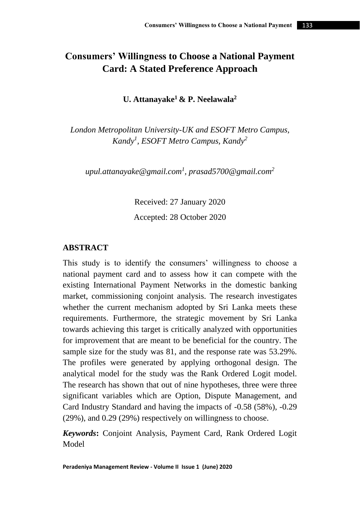# **Consumers' Willingness to Choose a National Payment Card: A Stated Preference Approach**

**U. Attanayake<sup>1</sup> & P. Neelawala<sup>2</sup>**

*London Metropolitan University-UK and ESOFT Metro Campus, Kandy<sup>1</sup> , ESOFT Metro Campus, Kandy<sup>2</sup>*

*[upul.attanayake@gmail.com](mailto:upul.attanayake@gmail.com1)<sup>1</sup> , [prasad5700@gmail.com](mailto:prasad5700@gmail.com2)<sup>2</sup>*

Received: 27 January 2020 Accepted: 28 October 2020

### **ABSTRACT**

This study is to identify the consumers' willingness to choose a national payment card and to assess how it can compete with the existing International Payment Networks in the domestic banking market, commissioning conjoint analysis. The research investigates whether the current mechanism adopted by Sri Lanka meets these requirements. Furthermore, the strategic movement by Sri Lanka towards achieving this target is critically analyzed with opportunities for improvement that are meant to be beneficial for the country. The sample size for the study was 81, and the response rate was 53.29%. The profiles were generated by applying orthogonal design. The analytical model for the study was the Rank Ordered Logit model. The research has shown that out of nine hypotheses, three were three significant variables which are Option, Dispute Management, and Card Industry Standard and having the impacts of -0.58 (58%), -0.29 (29%), and 0.29 (29%) respectively on willingness to choose.

*Keywords***:** Conjoint Analysis, Payment Card, Rank Ordered Logit Model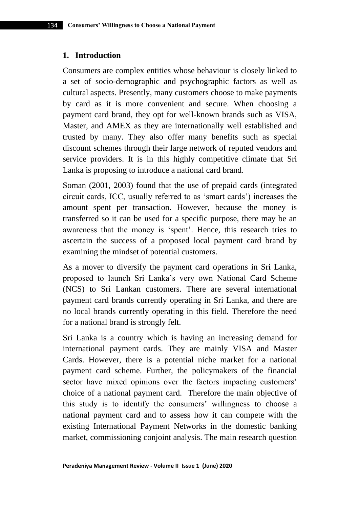#### **1. Introduction**

Consumers are complex entities whose behaviour is closely linked to a set of socio-demographic and psychographic factors as well as cultural aspects. Presently, many customers choose to make payments by card as it is more convenient and secure. When choosing a payment card brand, they opt for well-known brands such as VISA, Master, and AMEX as they are internationally well established and trusted by many. They also offer many benefits such as special discount schemes through their large network of reputed vendors and service providers. It is in this highly competitive climate that Sri Lanka is proposing to introduce a national card brand.

Soman (2001, 2003) found that the use of prepaid cards (integrated circuit cards, ICC, usually referred to as 'smart cards') increases the amount spent per transaction. However, because the money is transferred so it can be used for a specific purpose, there may be an awareness that the money is 'spent'. Hence, this research tries to ascertain the success of a proposed local payment card brand by examining the mindset of potential customers.

As a mover to diversify the payment card operations in Sri Lanka, proposed to launch Sri Lanka's very own National Card Scheme (NCS) to Sri Lankan customers. There are several international payment card brands currently operating in Sri Lanka, and there are no local brands currently operating in this field. Therefore the need for a national brand is strongly felt.

Sri Lanka is a country which is having an increasing demand for international payment cards. They are mainly VISA and Master Cards. However, there is a potential niche market for a national payment card scheme. Further, the policymakers of the financial sector have mixed opinions over the factors impacting customers' choice of a national payment card. Therefore the main objective of this study is to identify the consumers' willingness to choose a national payment card and to assess how it can compete with the existing International Payment Networks in the domestic banking market, commissioning conjoint analysis. The main research question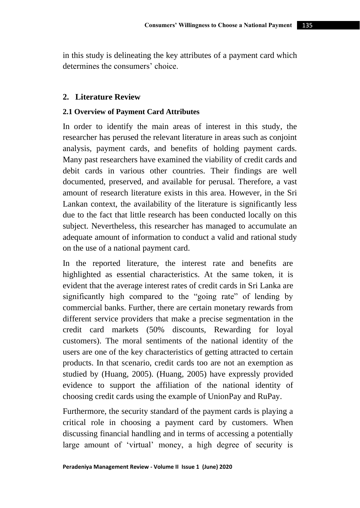in this study is delineating the key attributes of a payment card which determines the consumers' choice.

# **2. Literature Review**

### **2.1 Overview of Payment Card Attributes**

In order to identify the main areas of interest in this study, the researcher has perused the relevant literature in areas such as conjoint analysis, payment cards, and benefits of holding payment cards. Many past researchers have examined the viability of credit cards and debit cards in various other countries. Their findings are well documented, preserved, and available for perusal. Therefore, a vast amount of research literature exists in this area. However, in the Sri Lankan context, the availability of the literature is significantly less due to the fact that little research has been conducted locally on this subject. Nevertheless, this researcher has managed to accumulate an adequate amount of information to conduct a valid and rational study on the use of a national payment card.

In the reported literature, the interest rate and benefits are highlighted as essential characteristics. At the same token, it is evident that the average interest rates of credit cards in Sri Lanka are significantly high compared to the "going rate" of lending by commercial banks. Further, there are certain monetary rewards from different service providers that make a precise segmentation in the credit card markets (50% discounts, Rewarding for loyal customers). The moral sentiments of the national identity of the users are one of the key characteristics of getting attracted to certain products. In that scenario, credit cards too are not an exemption as studied by (Huang, 2005). (Huang, 2005) have expressly provided evidence to support the affiliation of the national identity of choosing credit cards using the example of UnionPay and RuPay.

Furthermore, the security standard of the payment cards is playing a critical role in choosing a payment card by customers. When discussing financial handling and in terms of accessing a potentially large amount of 'virtual' money, a high degree of security is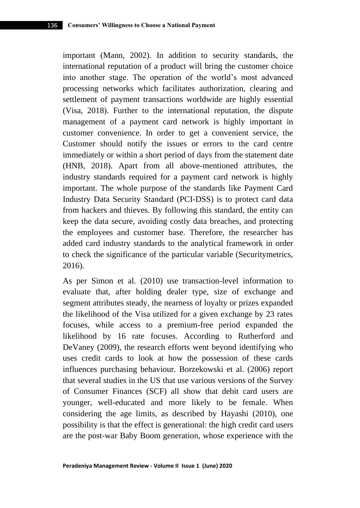important (Mann, 2002). In addition to security standards, the international reputation of a product will bring the customer choice into another stage. The operation of the world's most advanced processing networks which facilitates authorization, clearing and settlement of payment transactions worldwide are highly essential (Visa, 2018). Further to the international reputation, the dispute management of a payment card network is highly important in customer convenience. In order to get a convenient service, the Customer should notify the issues or errors to the card centre immediately or within a short period of days from the statement date (HNB, 2018). Apart from all above-mentioned attributes, the industry standards required for a payment card network is highly important. The whole purpose of the standards like Payment Card Industry Data Security Standard (PCI-DSS) is to protect card data from hackers and thieves. By following this standard, the entity can keep the data secure, avoiding costly data breaches, and protecting the employees and customer base. Therefore, the researcher has added card industry standards to the analytical framework in order to check the significance of the particular variable (Securitymetrics, 2016).

As per Simon et al. (2010) use transaction-level information to evaluate that, after holding dealer type, size of exchange and segment attributes steady, the nearness of loyalty or prizes expanded the likelihood of the Visa utilized for a given exchange by 23 rates focuses, while access to a premium-free period expanded the likelihood by 16 rate focuses. According to Rutherford and DeVaney (2009), the research efforts went beyond identifying who uses credit cards to look at how the possession of these cards influences purchasing behaviour. Borzekowski et al. (2006) report that several studies in the US that use various versions of the Survey of Consumer Finances (SCF) all show that debit card users are younger, well-educated and more likely to be female. When considering the age limits, as described by Hayashi (2010), one possibility is that the effect is generational: the high credit card users are the post-war Baby Boom generation, whose experience with the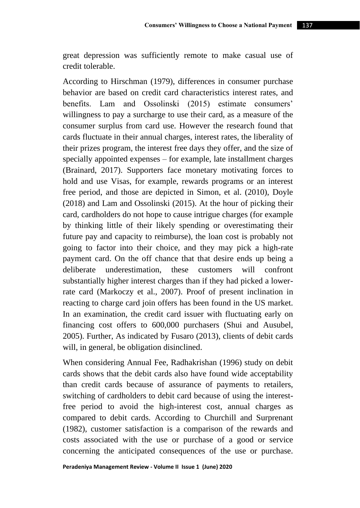great depression was sufficiently remote to make casual use of credit tolerable.

According to Hirschman (1979), differences in consumer purchase behavior are based on credit card characteristics interest rates, and benefits. Lam and Ossolinski (2015) estimate consumers' willingness to pay a surcharge to use their card, as a measure of the consumer surplus from card use. However the research found that cards fluctuate in their annual charges, interest rates, the liberality of their prizes program, the interest free days they offer, and the size of specially appointed expenses – for example, late installment charges (Brainard, 2017). Supporters face monetary motivating forces to hold and use Visas, for example, rewards programs or an interest free period, and those are depicted in Simon, et al. (2010), Doyle (2018) and Lam and Ossolinski (2015). At the hour of picking their card, cardholders do not hope to cause intrigue charges (for example by thinking little of their likely spending or overestimating their future pay and capacity to reimburse), the loan cost is probably not going to factor into their choice, and they may pick a high-rate payment card. On the off chance that that desire ends up being a deliberate underestimation, these customers will confront substantially higher interest charges than if they had picked a lowerrate card (Markoczy et al., 2007). Proof of present inclination in reacting to charge card join offers has been found in the US market. In an examination, the credit card issuer with fluctuating early on financing cost offers to 600,000 purchasers (Shui and Ausubel, 2005). Further, As indicated by Fusaro (2013), clients of debit cards will, in general, be obligation disinclined.

When considering Annual Fee, Radhakrishan (1996) study on debit cards shows that the debit cards also have found wide acceptability than credit cards because of assurance of payments to retailers, switching of cardholders to debit card because of using the interestfree period to avoid the high-interest cost, annual charges as compared to debit cards. According to Churchill and Surprenant (1982), customer satisfaction is a comparison of the rewards and costs associated with the use or purchase of a good or service concerning the anticipated consequences of the use or purchase.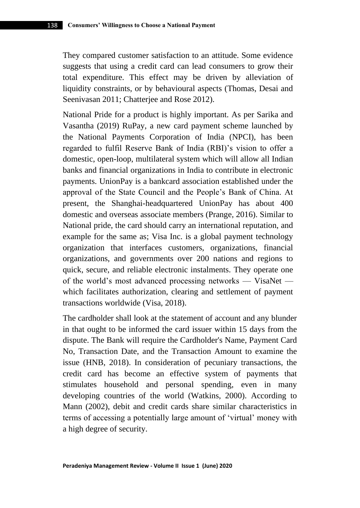They compared customer satisfaction to an attitude. Some evidence suggests that using a credit card can lead consumers to grow their total expenditure. This effect may be driven by alleviation of liquidity constraints, or by behavioural aspects (Thomas, Desai and Seenivasan 2011; Chatterjee and Rose 2012).

National Pride for a product is highly important. As per Sarika and Vasantha (2019) RuPay, a new card payment scheme launched by the National Payments Corporation of India (NPCI), has been regarded to fulfil Reserve Bank of India (RBI)'s vision to offer a domestic, open-loop, multilateral system which will allow all Indian banks and financial organizations in India to contribute in electronic payments. UnionPay is a bankcard association established under the approval of the State Council and the People's Bank of China. At present, the Shanghai-headquartered UnionPay has about 400 domestic and overseas associate members (Prange, 2016). Similar to National pride, the card should carry an international reputation, and example for the same as; Visa Inc. is a global payment technology organization that interfaces customers, organizations, financial organizations, and governments over 200 nations and regions to quick, secure, and reliable electronic instalments. They operate one of the world's most advanced processing networks — VisaNet which facilitates authorization, clearing and settlement of payment transactions worldwide (Visa, 2018).

The cardholder shall look at the statement of account and any blunder in that ought to be informed the card issuer within 15 days from the dispute. The Bank will require the Cardholder's Name, Payment Card No, Transaction Date, and the Transaction Amount to examine the issue (HNB, 2018). In consideration of pecuniary transactions, the credit card has become an effective system of payments that stimulates household and personal spending, even in many developing countries of the world (Watkins, 2000). According to Mann (2002), debit and credit cards share similar characteristics in terms of accessing a potentially large amount of 'virtual' money with a high degree of security.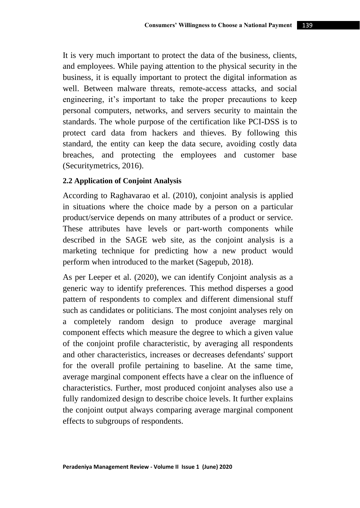It is very much important to protect the data of the business, clients, and employees. While paying attention to the physical security in the business, it is equally important to protect the digital information as well. Between malware threats, remote-access attacks, and social engineering, it's important to take the proper precautions to keep personal computers, networks, and servers security to maintain the standards. The whole purpose of the certification like PCI-DSS is to protect card data from hackers and thieves. By following this standard, the entity can keep the data secure, avoiding costly data breaches, and protecting the employees and customer base (Securitymetrics, 2016).

# **2.2 Application of Conjoint Analysis**

According to Raghavarao et al. (2010), conjoint analysis is applied in situations where the choice made by a person on a particular product/service depends on many attributes of a product or service. These attributes have levels or part-worth components while described in the SAGE web site, as the conjoint analysis is a marketing technique for predicting how a new product would perform when introduced to the market (Sagepub, 2018).

As per Leeper et al. (2020), we can identify Conjoint analysis as a generic way to identify preferences. This method disperses a good pattern of respondents to complex and different dimensional stuff such as candidates or politicians. The most conjoint analyses rely on a completely random design to produce average marginal component effects which measure the degree to which a given value of the conjoint profile characteristic, by averaging all respondents and other characteristics, increases or decreases defendants' support for the overall profile pertaining to baseline. At the same time, average marginal component effects have a clear on the influence of characteristics. Further, most produced conjoint analyses also use a fully randomized design to describe choice levels. It further explains the conjoint output always comparing average marginal component effects to subgroups of respondents.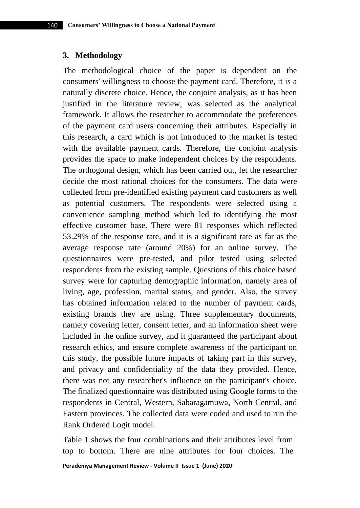#### **3. Methodology**

The methodological choice of the paper is dependent on the consumers' willingness to choose the payment card. Therefore, it is a naturally discrete choice. Hence, the conjoint analysis, as it has been justified in the literature review, was selected as the analytical framework. It allows the researcher to accommodate the preferences of the payment card users concerning their attributes. Especially in this research, a card which is not introduced to the market is tested with the available payment cards. Therefore, the conjoint analysis provides the space to make independent choices by the respondents. The orthogonal design, which has been carried out, let the researcher decide the most rational choices for the consumers. The data were collected from pre-identified existing payment card customers as well as potential customers. The respondents were selected using a convenience sampling method which led to identifying the most effective customer base. There were 81 responses which reflected 53.29% of the response rate, and it is a significant rate as far as the average response rate (around 20%) for an online survey. The questionnaires were pre-tested, and pilot tested using selected respondents from the existing sample. Questions of this choice based survey were for capturing demographic information, namely area of living, age, profession, marital status, and gender. Also, the survey has obtained information related to the number of payment cards, existing brands they are using. Three supplementary documents, namely covering letter, consent letter, and an information sheet were included in the online survey, and it guaranteed the participant about research ethics, and ensure complete awareness of the participant on this study, the possible future impacts of taking part in this survey, and privacy and confidentiality of the data they provided. Hence, there was not any researcher's influence on the participant's choice. The finalized questionnaire was distributed using Google forms to the respondents in Central, Western, Sabaragamuwa, North Central, and Eastern provinces. The collected data were coded and used to run the Rank Ordered Logit model.

Table 1 shows the four combinations and their attributes level from top to bottom. There are nine attributes for four choices. The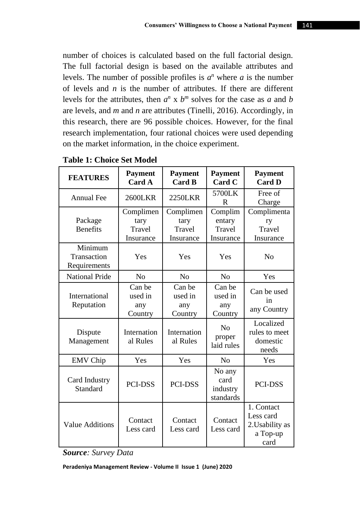number of choices is calculated based on the full factorial design. The full factorial design is based on the available attributes and levels. The number of possible profiles is  $a^n$  where  $a$  is the number of levels and *n* is the number of attributes. If there are different levels for the attributes, then  $a^n \times b^m$  solves for the case as *a* and *b* are levels, and *m* and *n* are attributes (Tinelli, 2016). Accordingly, in this research, there are 96 possible choices. However, for the final research implementation, four rational choices were used depending on the market information, in the choice experiment.

| <b>FEATURES</b>                        | <b>Payment</b><br><b>Payment</b><br><b>Card A</b><br><b>Card B</b> |                                          | <b>Payment</b><br>Card C                 | <b>Payment</b><br><b>Card D</b>                                |  |
|----------------------------------------|--------------------------------------------------------------------|------------------------------------------|------------------------------------------|----------------------------------------------------------------|--|
| <b>Annual Fee</b>                      | 2600LKR                                                            | <b>2250LKR</b>                           | 5700LK<br>R                              | Free of<br>Charge                                              |  |
| Package<br><b>Benefits</b>             | Complimen<br>tary<br>Travel<br>Insurance                           | Complimen<br>tary<br>Travel<br>Insurance | Complim<br>entary<br>Travel<br>Insurance | Complimenta<br>ry<br>Travel<br>Insurance                       |  |
| Minimum<br>Transaction<br>Requirements | Yes                                                                | Yes                                      | Yes                                      | N <sub>o</sub>                                                 |  |
| <b>National Pride</b>                  | N <sub>0</sub>                                                     | N <sub>0</sub>                           | No                                       | Yes                                                            |  |
| International<br>Reputation            | Can be<br>used in<br>any<br>Country                                | Can be<br>used in<br>any<br>Country      | Can be<br>used in<br>any<br>Country      | Can be used<br>in<br>any Country                               |  |
| Dispute<br>Management                  | Internation<br>al Rules                                            | Internation<br>al Rules                  | N <sub>0</sub><br>proper<br>laid rules   | Localized<br>rules to meet<br>domestic<br>needs                |  |
| <b>EMV</b> Chip                        | Yes                                                                | Yes                                      | No                                       | Yes                                                            |  |
| Card Industry<br>Standard              | <b>PCI-DSS</b>                                                     | <b>PCI-DSS</b>                           | No any<br>card<br>industry<br>standards  | <b>PCI-DSS</b>                                                 |  |
| <b>Value Additions</b>                 | Contact<br>Less card                                               | Contact<br>Less card                     | Contact<br>Less card                     | 1. Contact<br>Less card<br>2. Usability as<br>a Top-up<br>card |  |

**Table 1: Choice Set Model**

*Source: Survey Data*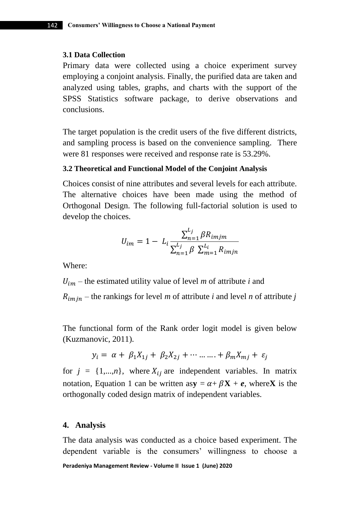#### **3.1 Data Collection**

Primary data were collected using a choice experiment survey employing a conjoint analysis. Finally, the purified data are taken and analyzed using tables, graphs, and charts with the support of the SPSS Statistics software package, to derive observations and conclusions.

The target population is the credit users of the five different districts, and sampling process is based on the convenience sampling. There were 81 responses were received and response rate is 53.29%.

#### **3.2 Theoretical and Functional Model of the Conjoint Analysis**

Choices consist of nine attributes and several levels for each attribute. The alternative choices have been made using the method of Orthogonal Design. The following full-factorial solution is used to develop the choices.

$$
U_{im} = 1 - L_i \frac{\sum_{n=1}^{L_j} \beta R_{imjm}}{\sum_{n=1}^{L_j} \beta \sum_{m=1}^{L_i} R_{imjn}}
$$

Where:

 $U_{im}$  – the estimated utility value of level *m* of attribute *i* and

 $R_{imjn}$  – the rankings for level *m* of attribute *i* and level *n* of attribute *j* 

The functional form of the Rank order logit model is given below (Kuzmanovic, 2011).

$$
y_i = \alpha + \beta_1 X_{1j} + \beta_2 X_{2j} + \cdots \ldots + \beta_m X_{mj} + \varepsilon_j
$$

for  $j = \{1,...,n\}$ , where  $X_{ij}$  are independent variables. In matrix notation, Equation 1 can be written asy =  $\alpha + \beta X + e$ , where X is the orthogonally coded design matrix of independent variables.

#### **4. Analysis**

**Peradeniya Management Review - Volume II Issue 1 (June) 2020**  The data analysis was conducted as a choice based experiment. The dependent variable is the consumers' willingness to choose a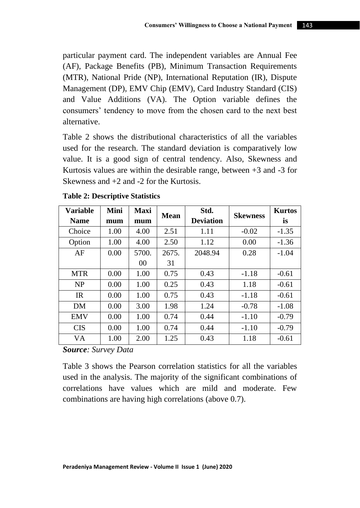particular payment card. The independent variables are Annual Fee (AF), Package Benefits (PB), Minimum Transaction Requirements (MTR), National Pride (NP), International Reputation (IR), Dispute Management (DP), EMV Chip (EMV), Card Industry Standard (CIS) and Value Additions (VA). The Option variable defines the consumers' tendency to move from the chosen card to the next best alternative.

Table 2 shows the distributional characteristics of all the variables used for the research. The standard deviation is comparatively low value. It is a good sign of central tendency. Also, Skewness and Kurtosis values are within the desirable range, between  $+3$  and  $-3$  for Skewness and +2 and -2 for the Kurtosis.

| Variable<br><b>Name</b> | Mini<br>mum | <b>Maxi</b><br>mum | <b>Mean</b> | Std.<br><b>Deviation</b> | <b>Skewness</b> | <b>Kurtos</b><br>is |
|-------------------------|-------------|--------------------|-------------|--------------------------|-----------------|---------------------|
| Choice                  | 1.00        | 4.00               | 2.51        | 1.11                     | $-0.02$         | $-1.35$             |
| Option                  | 1.00        | 4.00               | 2.50        | 1.12                     | 0.00            | $-1.36$             |
| AF                      | 0.00        | 5700.              | 2675.       | 2048.94                  | 0.28            | $-1.04$             |
|                         |             | 0 <sup>0</sup>     | 31          |                          |                 |                     |
| <b>MTR</b>              | 0.00        | 1.00               | 0.75        | 0.43                     | $-1.18$         | $-0.61$             |
| NP                      | 0.00        | 1.00               | 0.25        | 0.43                     | 1.18            | $-0.61$             |
| IR                      | 0.00        | 1.00               | 0.75        | 0.43                     | $-1.18$         | $-0.61$             |
| DM                      | 0.00        | 3.00               | 1.98        | 1.24                     | $-0.78$         | $-1.08$             |
| <b>EMV</b>              | 0.00        | 1.00               | 0.74        | 0.44                     | $-1.10$         | $-0.79$             |
| <b>CIS</b>              | 0.00        | 1.00               | 0.74        | 0.44                     | $-1.10$         | $-0.79$             |
| VA                      | 1.00        | 2.00               | 1.25        | 0.43                     | 1.18            | $-0.61$             |

*Source: Survey Data*

Table 3 shows the Pearson correlation statistics for all the variables used in the analysis. The majority of the significant combinations of correlations have values which are mild and moderate. Few combinations are having high correlations (above 0.7).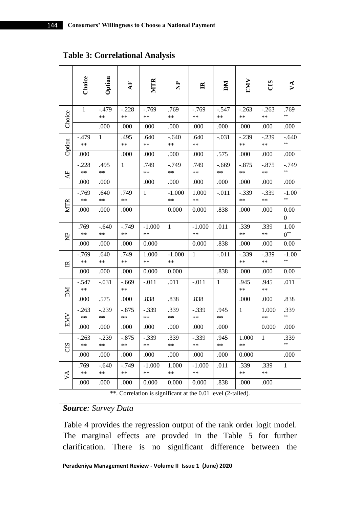**Table 3: Correlational Analysis**

|                                                              | Choice          | Option          | $\mathbf{A}$ F  | MTR              | È                | $\mathbb{R}$     | ÞМ              | EMV             | CIS             | ু∢                       |
|--------------------------------------------------------------|-----------------|-----------------|-----------------|------------------|------------------|------------------|-----------------|-----------------|-----------------|--------------------------|
| Choice                                                       | 1               | $-.479$<br>**   | $-.228$<br>$**$ | $-769$<br>$**$   | .769<br>$**$     | $-.769$<br>$**$  | $-.547$<br>$**$ | $-.263$<br>**   | $-.263$<br>$**$ | .769<br>**               |
|                                                              |                 | .000            | .000            | .000             | .000             | .000             | .000            | .000            | .000            | .000                     |
| Option                                                       | -.479<br>**     | 1               | .495<br>$**$    | .640<br>**       | -.640<br>$**$    | .640<br>**       | $-.031$         | -.239<br>**     | $-.239$<br>**   | -.640<br>**              |
|                                                              | .000            |                 | .000            | .000             | .000             | .000             | .575            | .000            | .000            | .000                     |
| AF                                                           | $-.228$<br>**   | .495<br>**      | 1               | .749<br>$**$     | -.749<br>$**$    | .749<br>**       | $-.669$<br>$**$ | $-.875$<br>**   | $-.875$<br>$**$ | -.749<br>**              |
|                                                              | .000            | .000            |                 | .000             | .000             | .000             | .000            | .000            | .000            | .000                     |
|                                                              | $-769$<br>$**$  | .640<br>$**$    | .749<br>$**$    | 1                | $-1.000$<br>$**$ | 1.000<br>$**$    | $-.011$         | $-.339$<br>$**$ | $-.339$<br>$**$ | $-1.00$<br>**            |
| <b>MTR</b>                                                   | .000            | .000            | .000            |                  | 0.000            | 0.000            | .838            | .000            | .000            | 0.00<br>$\boldsymbol{0}$ |
| È                                                            | .769<br>$**$    | $-.640$<br>$**$ | $-.749$<br>$**$ | $-1.000$<br>$**$ | $\mathbf{1}$     | $-1.000$<br>$**$ | .011            | .339<br>$**$    | .339<br>$**$    | 1.00<br>$0^{**}$         |
|                                                              | .000            | .000            | .000            | 0.000            |                  | 0.000            | .838            | .000            | .000            | 0.00                     |
| $\mathbb{R}$                                                 | -.769<br>**     | .640<br>**      | .749<br>$**$    | 1.000<br>**      | $-1.000$<br>$**$ | $\mathbf{1}$     | $-.011$         | $-0.339$<br>**  | $-.339$<br>$**$ | $-1.00$<br>**            |
|                                                              | .000            | .000            | .000            | 0.000            | 0.000            |                  | .838            | .000            | .000            | 0.00                     |
| NД                                                           | $-.547$<br>**   | $-.031$         | $-.669$<br>$**$ | $-.011$          | .011             | $-.011$          | $\mathbf{1}$    | .945<br>**      | .945<br>$**$    | .011                     |
|                                                              | .000            | .575            | .000            | .838             | .838             | .838             |                 | .000            | .000            | .838                     |
| <b>EMV</b>                                                   | $-.263$<br>**   | $-.239$<br>**   | $-.875$<br>$**$ | $-.339$<br>$**$  | .339<br>**       | $-.339$<br>**    | .945<br>$**$    | 1               | 1.000<br>**     | .339<br>**               |
|                                                              | .000            | .000            | .000            | .000             | .000             | .000             | .000            |                 | 0.000           | .000                     |
| CIS                                                          | $-.263$<br>$**$ | $-.239$<br>$**$ | $-.875$<br>$**$ | $-.339$<br>$**$  | .339<br>$**$     | $-.339$<br>$**$  | .945<br>$**$    | 1.000<br>**     | 1               | .339<br>**               |
|                                                              | .000            | .000            | .000            | .000             | .000             | .000             | .000            | 0.000           |                 | .000                     |
| $\vee$                                                       | .769<br>$**$    | $-.640$<br>**   | $-.749$<br>$**$ | $-1.000$<br>$**$ | 1.000<br>$**$    | $-1.000$<br>$**$ | .011            | .339<br>$**$    | .339<br>$**$    | 1                        |
|                                                              | .000            | .000            | .000            | 0.000            | 0.000            | 0.000            | .838            | .000            | .000            |                          |
| **. Correlation is significant at the 0.01 level (2-tailed). |                 |                 |                 |                  |                  |                  |                 |                 |                 |                          |

*Source: Survey Data*

Table 4 provides the regression output of the rank order logit model. The marginal effects are provded in the Table 5 for further clarification. There is no significant difference between the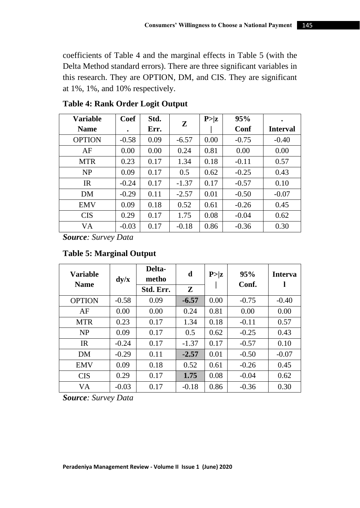coefficients of Table 4 and the marginal effects in Table 5 (with the Delta Method standard errors). There are three significant variables in this research. They are OPTION, DM, and CIS. They are significant at 1%, 1%, and 10% respectively.

| <b>Variable</b> | Coef    | Std. | Z       | P >  z | 95%     |                 |
|-----------------|---------|------|---------|--------|---------|-----------------|
| <b>Name</b>     | ٠       | Err. |         |        | Conf    | <b>Interval</b> |
| <b>OPTION</b>   | $-0.58$ | 0.09 | $-6.57$ | 0.00   | $-0.75$ | $-0.40$         |
| AF              | 0.00    | 0.00 | 0.24    | 0.81   | 0.00    | 0.00            |
| <b>MTR</b>      | 0.23    | 0.17 | 1.34    | 0.18   | $-0.11$ | 0.57            |
| <b>NP</b>       | 0.09    | 0.17 | 0.5     | 0.62   | $-0.25$ | 0.43            |
| IR              | $-0.24$ | 0.17 | $-1.37$ | 0.17   | $-0.57$ | 0.10            |
| DM              | $-0.29$ | 0.11 | $-2.57$ | 0.01   | $-0.50$ | $-0.07$         |
| <b>EMV</b>      | 0.09    | 0.18 | 0.52    | 0.61   | $-0.26$ | 0.45            |
| <b>CIS</b>      | 0.29    | 0.17 | 1.75    | 0.08   | $-0.04$ | 0.62            |
| VA              | $-0.03$ | 0.17 | $-0.18$ | 0.86   | $-0.36$ | 0.30            |

# **Table 4: Rank Order Logit Output**

*Source: Survey Data*

# **Table 5: Marginal Output**

| Variable<br><b>Name</b> | dy/x    | Delta-<br>metho | d       | P >  z | 95%<br>Conf. | <b>Interva</b> |
|-------------------------|---------|-----------------|---------|--------|--------------|----------------|
|                         |         | Std. Err.       | Z       |        |              |                |
| <b>OPTION</b>           | $-0.58$ | 0.09            | $-6.57$ | 0.00   | $-0.75$      | $-0.40$        |
| AF                      | 0.00    | 0.00            | 0.24    | 0.81   | 0.00         | 0.00           |
| <b>MTR</b>              | 0.23    | 0.17            | 1.34    | 0.18   | $-0.11$      | 0.57           |
| <b>NP</b>               | 0.09    | 0.17            | 0.5     | 0.62   | $-0.25$      | 0.43           |
| <b>IR</b>               | $-0.24$ | 0.17            | $-1.37$ | 0.17   | $-0.57$      | 0.10           |
| DM                      | $-0.29$ | 0.11            | $-2.57$ | 0.01   | $-0.50$      | $-0.07$        |
| <b>EMV</b>              | 0.09    | 0.18            | 0.52    | 0.61   | $-0.26$      | 0.45           |
| <b>CIS</b>              | 0.29    | 0.17            | 1.75    | 0.08   | $-0.04$      | 0.62           |
| VA                      | $-0.03$ | 0.17            | $-0.18$ | 0.86   | $-0.36$      | 0.30           |

*Source: Survey Data*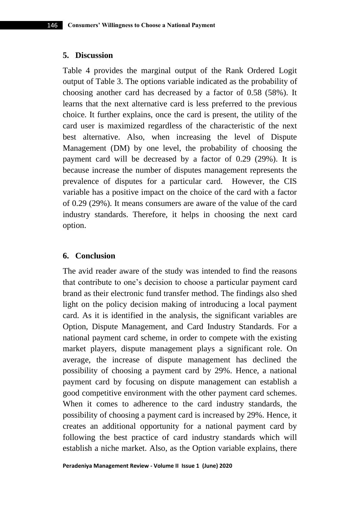### **5. Discussion**

Table 4 provides the marginal output of the Rank Ordered Logit output of Table 3. The options variable indicated as the probability of choosing another card has decreased by a factor of 0.58 (58%). It learns that the next alternative card is less preferred to the previous choice. It further explains, once the card is present, the utility of the card user is maximized regardless of the characteristic of the next best alternative. Also, when increasing the level of Dispute Management (DM) by one level, the probability of choosing the payment card will be decreased by a factor of 0.29 (29%). It is because increase the number of disputes management represents the prevalence of disputes for a particular card. However, the CIS variable has a positive impact on the choice of the card with a factor of 0.29 (29%). It means consumers are aware of the value of the card industry standards. Therefore, it helps in choosing the next card option.

### **6. Conclusion**

The avid reader aware of the study was intended to find the reasons that contribute to one's decision to choose a particular payment card brand as their electronic fund transfer method. The findings also shed light on the policy decision making of introducing a local payment card. As it is identified in the analysis, the significant variables are Option, Dispute Management, and Card Industry Standards. For a national payment card scheme, in order to compete with the existing market players, dispute management plays a significant role. On average, the increase of dispute management has declined the possibility of choosing a payment card by 29%. Hence, a national payment card by focusing on dispute management can establish a good competitive environment with the other payment card schemes. When it comes to adherence to the card industry standards, the possibility of choosing a payment card is increased by 29%. Hence, it creates an additional opportunity for a national payment card by following the best practice of card industry standards which will establish a niche market. Also, as the Option variable explains, there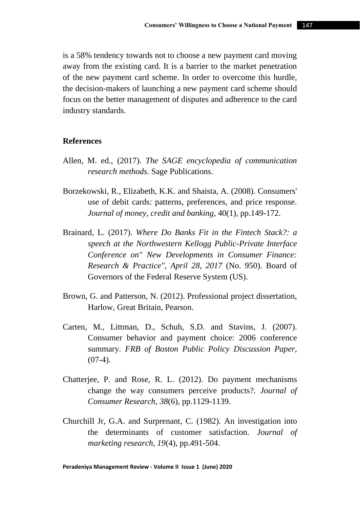is a 58% tendency towards not to choose a new payment card moving away from the existing card. It is a barrier to the market penetration of the new payment card scheme. In order to overcome this hurdle, the decision-makers of launching a new payment card scheme should focus on the better management of disputes and adherence to the card industry standards.

#### **References**

- Allen, M. ed., (2017). *The SAGE encyclopedia of communication research methods*. Sage Publications.
- Borzekowski, R., Elizabeth, K.K. and Shaista, A. (2008). Consumers' use of debit cards: patterns, preferences, and price response. *Journal of money, credit and banking*, 40(1), pp.149-172.
- Brainard, L. (2017). *Where Do Banks Fit in the Fintech Stack?: a speech at the Northwestern Kellogg Public-Private Interface Conference on" New Developments in Consumer Finance: Research & Practice", April 28, 2017* (No. 950). Board of Governors of the Federal Reserve System (US).
- Brown, G. and Patterson, N. (2012). Professional project dissertation, Harlow, Great Britain, Pearson.
- Carten, M., Littman, D., Schuh, S.D. and Stavins, J. (2007). Consumer behavior and payment choice: 2006 conference summary. *FRB of Boston Public Policy Discussion Paper*,  $(07-4)$ .
- Chatterjee, P. and Rose, R. L. (2012). Do payment mechanisms change the way consumers perceive products?. *Journal of Consumer Research*, *38*(6), pp.1129-1139.
- Churchill Jr, G.A. and Surprenant, C. (1982). An investigation into the determinants of customer satisfaction. *Journal of marketing research*, *19*(4), pp.491-504.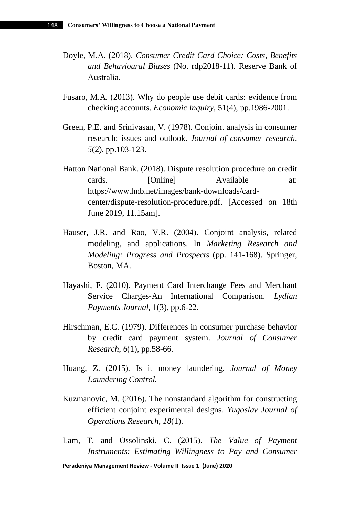- Doyle, M.A. (2018). *Consumer Credit Card Choice: Costs, Benefits and Behavioural Biases* (No. rdp2018-11). Reserve Bank of Australia.
- Fusaro, M.A. (2013). Why do people use debit cards: evidence from checking accounts. *Economic Inquiry*, 51(4), pp.1986-2001.
- Green, P.E. and Srinivasan, V. (1978). Conjoint analysis in consumer research: issues and outlook. *Journal of consumer research*, *5*(2), pp.103-123.
- Hatton National Bank. (2018). Dispute resolution procedure on credit cards. [Online] Available at: https://www.hnb.net/images/bank-downloads/cardcenter/dispute-resolution-procedure.pdf. [Accessed on 18th June 2019, 11.15am].
- Hauser, J.R. and Rao, V.R. (2004). Conjoint analysis, related modeling, and applications. In *Marketing Research and Modeling: Progress and Prospects* (pp. 141-168). Springer, Boston, MA.
- Hayashi, F. (2010). Payment Card Interchange Fees and Merchant Service Charges-An International Comparison. *Lydian Payments Journal*, 1(3), pp.6-22.
- Hirschman, E.C. (1979). Differences in consumer purchase behavior by credit card payment system. *Journal of Consumer Research*, *6*(1), pp.58-66.
- Huang, Z. (2015). Is it money laundering. *Journal of Money Laundering Control.*
- Kuzmanovic, M. (2016). The nonstandard algorithm for constructing efficient conjoint experimental designs. *Yugoslav Journal of Operations Research*, *18*(1).
- Lam, T. and Ossolinski, C. (2015). *The Value of Payment Instruments: Estimating Willingness to Pay and Consumer*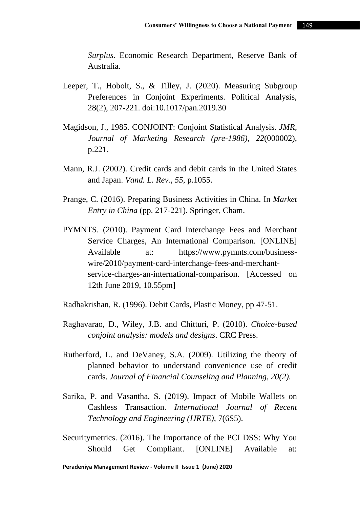*Surplus*. Economic Research Department, Reserve Bank of Australia.

- Leeper, T., Hobolt, S., & Tilley, J. (2020). Measuring Subgroup Preferences in Conjoint Experiments. Political Analysis, 28(2), 207-221. doi:10.1017/pan.2019.30
- Magidson, J., 1985. CONJOINT: Conjoint Statistical Analysis. *JMR, Journal of Marketing Research (pre-1986)*, *22*(000002), p.221.
- Mann, R.J. (2002). Credit cards and debit cards in the United States and Japan. *Vand. L. Rev.*, *55*, p.1055.
- Prange, C. (2016). Preparing Business Activities in China. In *Market Entry in China* (pp. 217-221). Springer, Cham.
- PYMNTS. (2010). Payment Card Interchange Fees and Merchant Service Charges, An International Comparison. [ONLINE] Available at: https://www.pymnts.com/businesswire/2010/payment-card-interchange-fees-and-merchantservice-charges-an-international-comparison. [Accessed on 12th June 2019, 10.55pm]
- Radhakrishan, R. (1996). Debit Cards, Plastic Money, pp 47-51.
- Raghavarao, D., Wiley, J.B. and Chitturi, P. (2010). *Choice-based conjoint analysis: models and designs*. CRC Press.
- Rutherford, L. and DeVaney, S.A. (2009). Utilizing the theory of planned behavior to understand convenience use of credit cards. *Journal of Financial Counseling and Planning, 20(2).*
- Sarika, P. and Vasantha, S. (2019). Impact of Mobile Wallets on Cashless Transaction. *International Journal of Recent Technology and Engineering (IJRTE)*, 7(6S5).
- Securitymetrics. (2016). The Importance of the PCI DSS: Why You Should Get Compliant. [ONLINE] Available at: